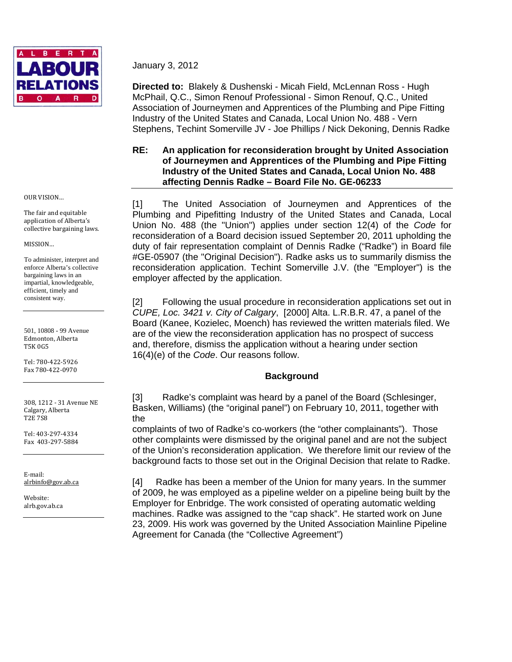

January 3, 2012

**Directed to:** Blakely & Dushenski - Micah Field, McLennan Ross - Hugh McPhail, Q.C., Simon Renouf Professional - Simon Renouf, Q.C., United Association of Journeymen and Apprentices of the Plumbing and Pipe Fitting Industry of the United States and Canada, Local Union No. 488 - Vern Stephens, Techint Somerville JV - Joe Phillips / Nick Dekoning, Dennis Radke

# **RE: An application for reconsideration brought by United Association of Journeymen and Apprentices of the Plumbing and Pipe Fitting Industry of the United States and Canada, Local Union No. 488 affecting Dennis Radke – Board File No. GE-06233**

[1] The United Association of Journeymen and Apprentices of the Plumbing and Pipefitting Industry of the United States and Canada, Local Union No. 488 (the "Union") applies under section 12(4) of the *Code* for reconsideration of a Board decision issued September 20, 2011 upholding the duty of fair representation complaint of Dennis Radke ("Radke") in Board file #GE-05907 (the "Original Decision"). Radke asks us to summarily dismiss the reconsideration application. Techint Somerville J.V. (the "Employer") is the employer affected by the application.

[2] Following the usual procedure in reconsideration applications set out in *CUPE, Loc. 3421 v. City of Calgary*, [2000] Alta. L.R.B.R. 47, a panel of the Board (Kanee, Kozielec, Moench) has reviewed the written materials filed. We are of the view the reconsideration application has no prospect of success and, therefore, dismiss the application without a hearing under section 16(4)(e) of the *Code*. Our reasons follow.

# **Background**

[3] Radke's complaint was heard by a panel of the Board (Schlesinger, Basken, Williams) (the "original panel") on February 10, 2011, together with the

complaints of two of Radke's co-workers (the "other complainants"). Those other complaints were dismissed by the original panel and are not the subject of the Union's reconsideration application. We therefore limit our review of the background facts to those set out in the Original Decision that relate to Radke.

[4] Radke has been a member of the Union for many years. In the summer of 2009, he was employed as a pipeline welder on a pipeline being built by the Employer for Enbridge. The work consisted of operating automatic welding machines. Radke was assigned to the "cap shack". He started work on June 23, 2009. His work was governed by the United Association Mainline Pipeline Agreement for Canada (the "Collective Agreement")

OUR VISION…

The fair and equitable application of Alberta's collective bargaining laws.

MISSION…

To administer, interpret and enforce Alberta's collective bargaining laws in an impartial, knowledgeable, efficient, timely and consistent way.

501, 10808 - 99 Avenue Edmonton, Alberta T5K 0G5

Tel: 780‐422‐5926 Fax 780‐422‐0970

308, 1212 ‐ 31 Avenue NE Calgary, Alberta T2E 7S8

Tel: 403‐297‐4334 Fax 403‐297‐5884

E‐mail: alrbinfo@gov.ab.ca

Website: alrb.gov.ab.ca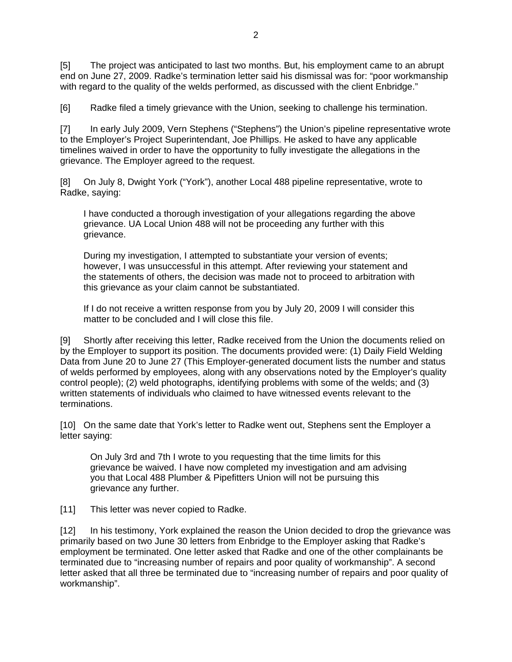[5] The project was anticipated to last two months. But, his employment came to an abrupt end on June 27, 2009. Radke's termination letter said his dismissal was for: "poor workmanship with regard to the quality of the welds performed, as discussed with the client Enbridge."

[6] Radke filed a timely grievance with the Union, seeking to challenge his termination.

[7] In early July 2009, Vern Stephens ("Stephens") the Union's pipeline representative wrote to the Employer's Project Superintendant, Joe Phillips. He asked to have any applicable timelines waived in order to have the opportunity to fully investigate the allegations in the grievance. The Employer agreed to the request.

[8] On July 8, Dwight York ("York"), another Local 488 pipeline representative, wrote to Radke, saying:

I have conducted a thorough investigation of your allegations regarding the above grievance. UA Local Union 488 will not be proceeding any further with this grievance.

During my investigation, I attempted to substantiate your version of events; however, I was unsuccessful in this attempt. After reviewing your statement and the statements of others, the decision was made not to proceed to arbitration with this grievance as your claim cannot be substantiated.

If I do not receive a written response from you by July 20, 2009 I will consider this matter to be concluded and I will close this file.

[9] Shortly after receiving this letter, Radke received from the Union the documents relied on by the Employer to support its position. The documents provided were: (1) Daily Field Welding Data from June 20 to June 27 (This Employer-generated document lists the number and status of welds performed by employees, along with any observations noted by the Employer's quality control people); (2) weld photographs, identifying problems with some of the welds; and (3) written statements of individuals who claimed to have witnessed events relevant to the terminations.

[10] On the same date that York's letter to Radke went out, Stephens sent the Employer a letter saying:

On July 3rd and 7th I wrote to you requesting that the time limits for this grievance be waived. I have now completed my investigation and am advising you that Local 488 Plumber & Pipefitters Union will not be pursuing this grievance any further.

[11] This letter was never copied to Radke.

[12] In his testimony, York explained the reason the Union decided to drop the grievance was primarily based on two June 30 letters from Enbridge to the Employer asking that Radke's employment be terminated. One letter asked that Radke and one of the other complainants be terminated due to "increasing number of repairs and poor quality of workmanship". A second letter asked that all three be terminated due to "increasing number of repairs and poor quality of workmanship".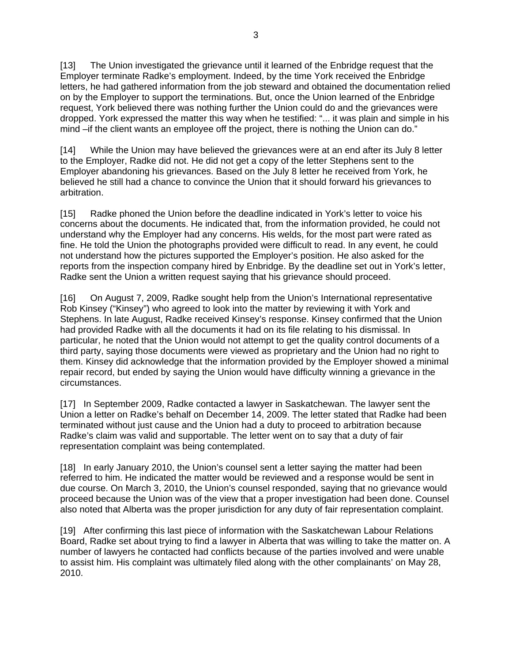[13] The Union investigated the grievance until it learned of the Enbridge request that the Employer terminate Radke's employment. Indeed, by the time York received the Enbridge letters, he had gathered information from the job steward and obtained the documentation relied on by the Employer to support the terminations. But, once the Union learned of the Enbridge request, York believed there was nothing further the Union could do and the grievances were dropped. York expressed the matter this way when he testified: "... it was plain and simple in his mind –if the client wants an employee off the project, there is nothing the Union can do."

[14] While the Union may have believed the grievances were at an end after its July 8 letter to the Employer, Radke did not. He did not get a copy of the letter Stephens sent to the Employer abandoning his grievances. Based on the July 8 letter he received from York, he believed he still had a chance to convince the Union that it should forward his grievances to arbitration.

[15] Radke phoned the Union before the deadline indicated in York's letter to voice his concerns about the documents. He indicated that, from the information provided, he could not understand why the Employer had any concerns. His welds, for the most part were rated as fine. He told the Union the photographs provided were difficult to read. In any event, he could not understand how the pictures supported the Employer's position. He also asked for the reports from the inspection company hired by Enbridge. By the deadline set out in York's letter, Radke sent the Union a written request saying that his grievance should proceed.

[16] On August 7, 2009, Radke sought help from the Union's International representative Rob Kinsey ("Kinsey") who agreed to look into the matter by reviewing it with York and Stephens. In late August, Radke received Kinsey's response. Kinsey confirmed that the Union had provided Radke with all the documents it had on its file relating to his dismissal. In particular, he noted that the Union would not attempt to get the quality control documents of a third party, saying those documents were viewed as proprietary and the Union had no right to them. Kinsey did acknowledge that the information provided by the Employer showed a minimal repair record, but ended by saying the Union would have difficulty winning a grievance in the circumstances.

[17] In September 2009, Radke contacted a lawyer in Saskatchewan. The lawyer sent the Union a letter on Radke's behalf on December 14, 2009. The letter stated that Radke had been terminated without just cause and the Union had a duty to proceed to arbitration because Radke's claim was valid and supportable. The letter went on to say that a duty of fair representation complaint was being contemplated.

[18] In early January 2010, the Union's counsel sent a letter saying the matter had been referred to him. He indicated the matter would be reviewed and a response would be sent in due course. On March 3, 2010, the Union's counsel responded, saying that no grievance would proceed because the Union was of the view that a proper investigation had been done. Counsel also noted that Alberta was the proper jurisdiction for any duty of fair representation complaint.

[19] After confirming this last piece of information with the Saskatchewan Labour Relations Board, Radke set about trying to find a lawyer in Alberta that was willing to take the matter on. A number of lawyers he contacted had conflicts because of the parties involved and were unable to assist him. His complaint was ultimately filed along with the other complainants' on May 28, 2010.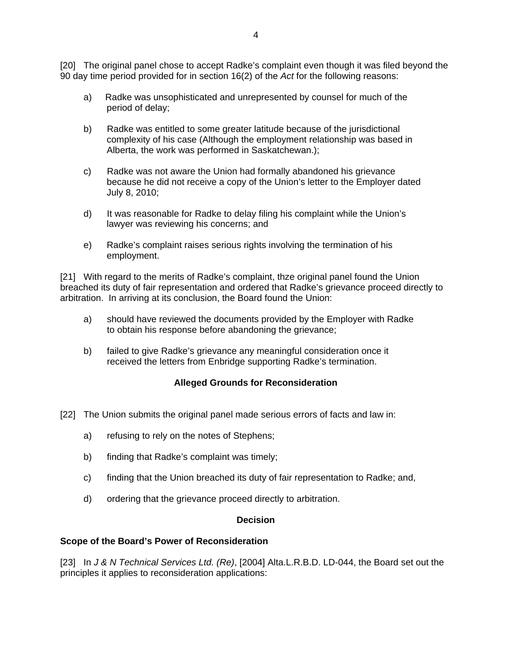[20] The original panel chose to accept Radke's complaint even though it was filed beyond the 90 day time period provided for in section 16(2) of the *Act* for the following reasons:

- a) Radke was unsophisticated and unrepresented by counsel for much of the period of delay;
- b) Radke was entitled to some greater latitude because of the jurisdictional complexity of his case (Although the employment relationship was based in Alberta, the work was performed in Saskatchewan.);
- c) Radke was not aware the Union had formally abandoned his grievance because he did not receive a copy of the Union's letter to the Employer dated July 8, 2010;
- d) It was reasonable for Radke to delay filing his complaint while the Union's lawyer was reviewing his concerns; and
- e) Radke's complaint raises serious rights involving the termination of his employment.

[21] With regard to the merits of Radke's complaint, thze original panel found the Union breached its duty of fair representation and ordered that Radke's grievance proceed directly to arbitration. In arriving at its conclusion, the Board found the Union:

- a) should have reviewed the documents provided by the Employer with Radke to obtain his response before abandoning the grievance;
- b) failed to give Radke's grievance any meaningful consideration once it received the letters from Enbridge supporting Radke's termination.

# **Alleged Grounds for Reconsideration**

- [22] The Union submits the original panel made serious errors of facts and law in:
	- a) refusing to rely on the notes of Stephens;
	- b) finding that Radke's complaint was timely;
	- c) finding that the Union breached its duty of fair representation to Radke; and,
	- d) ordering that the grievance proceed directly to arbitration.

#### **Decision**

#### **Scope of the Board's Power of Reconsideration**

[23] In *J & N Technical Services Ltd. (Re)*, [2004] Alta.L.R.B.D. LD-044, the Board set out the principles it applies to reconsideration applications: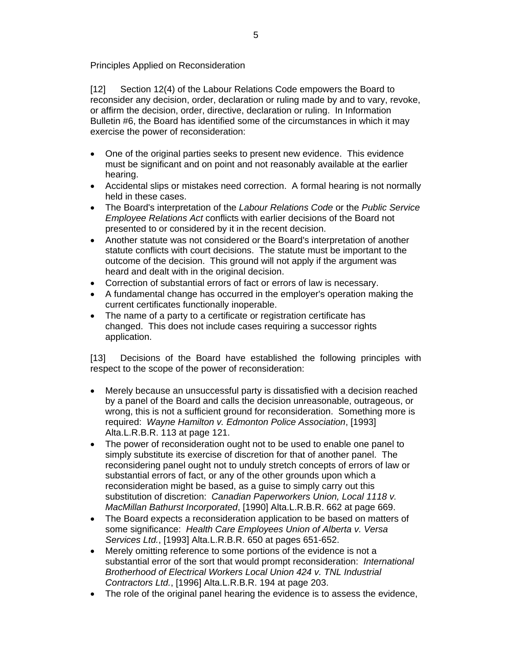Principles Applied on Reconsideration

[12] Section 12(4) of the Labour Relations Code empowers the Board to reconsider any decision, order, declaration or ruling made by and to vary, revoke, or affirm the decision, order, directive, declaration or ruling. In Information Bulletin #6, the Board has identified some of the circumstances in which it may exercise the power of reconsideration:

- One of the original parties seeks to present new evidence. This evidence must be significant and on point and not reasonably available at the earlier hearing.
- Accidental slips or mistakes need correction. A formal hearing is not normally held in these cases.
- The Board's interpretation of the *Labour Relations Code* or the *Public Service Employee Relations Act* conflicts with earlier decisions of the Board not presented to or considered by it in the recent decision.
- Another statute was not considered or the Board's interpretation of another statute conflicts with court decisions. The statute must be important to the outcome of the decision. This ground will not apply if the argument was heard and dealt with in the original decision.
- Correction of substantial errors of fact or errors of law is necessary.
- A fundamental change has occurred in the employer's operation making the current certificates functionally inoperable.
- The name of a party to a certificate or registration certificate has changed. This does not include cases requiring a successor rights application.

[13] Decisions of the Board have established the following principles with respect to the scope of the power of reconsideration:

- Merely because an unsuccessful party is dissatisfied with a decision reached by a panel of the Board and calls the decision unreasonable, outrageous, or wrong, this is not a sufficient ground for reconsideration. Something more is required: *Wayne Hamilton v. Edmonton Police Association*, [1993] Alta.L.R.B.R. 113 at page 121.
- The power of reconsideration ought not to be used to enable one panel to simply substitute its exercise of discretion for that of another panel. The reconsidering panel ought not to unduly stretch concepts of errors of law or substantial errors of fact, or any of the other grounds upon which a reconsideration might be based, as a guise to simply carry out this substitution of discretion: *Canadian Paperworkers Union, Local 1118 v. MacMillan Bathurst Incorporated*, [1990] Alta.L.R.B.R. 662 at page 669.
- The Board expects a reconsideration application to be based on matters of some significance: *Health Care Employees Union of Alberta v. Versa Services Ltd.*, [1993] Alta.L.R.B.R. 650 at pages 651-652.
- Merely omitting reference to some portions of the evidence is not a substantial error of the sort that would prompt reconsideration: *International Brotherhood of Electrical Workers Local Union 424 v. TNL Industrial Contractors Ltd.*, [1996] Alta.L.R.B.R. 194 at page 203.
- The role of the original panel hearing the evidence is to assess the evidence,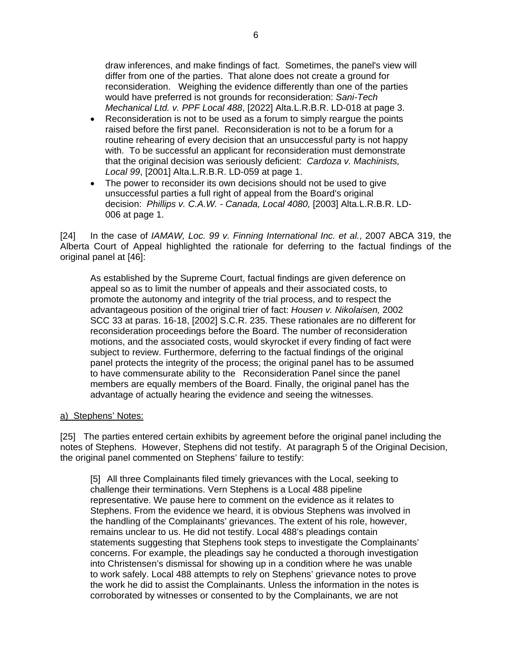draw inferences, and make findings of fact. Sometimes, the panel's view will differ from one of the parties. That alone does not create a ground for reconsideration. Weighing the evidence differently than one of the parties would have preferred is not grounds for reconsideration: *Sani-Tech Mechanical Ltd. v. PPF Local 488*, [2022] Alta.L.R.B.R. LD-018 at page 3.

- Reconsideration is not to be used as a forum to simply reargue the points raised before the first panel. Reconsideration is not to be a forum for a routine rehearing of every decision that an unsuccessful party is not happy with. To be successful an applicant for reconsideration must demonstrate that the original decision was seriously deficient: *Cardoza v. Machinists, Local 99*, [2001] Alta.L.R.B.R. LD-059 at page 1.
- The power to reconsider its own decisions should not be used to give unsuccessful parties a full right of appeal from the Board's original decision: *Phillips v. C.A.W. - Canada, Local 4080,* [2003] Alta.L.R.B.R. LD-006 at page 1.

[24] In the case of *IAMAW, Loc. 99 v. Finning International Inc. et al.*, 2007 ABCA 319, the Alberta Court of Appeal highlighted the rationale for deferring to the factual findings of the original panel at [46]:

As established by the Supreme Court, factual findings are given deference on appeal so as to limit the number of appeals and their associated costs, to promote the autonomy and integrity of the trial process, and to respect the advantageous position of the original trier of fact: *Housen v. Nikolaisen,* 2002 SCC 33 at paras. 16-18, [2002] S.C.R. 235. These rationales are no different for reconsideration proceedings before the Board. The number of reconsideration motions, and the associated costs, would skyrocket if every finding of fact were subject to review. Furthermore, deferring to the factual findings of the original panel protects the integrity of the process; the original panel has to be assumed to have commensurate ability to the Reconsideration Panel since the panel members are equally members of the Board. Finally, the original panel has the advantage of actually hearing the evidence and seeing the witnesses.

#### a) Stephens' Notes:

[25] The parties entered certain exhibits by agreement before the original panel including the notes of Stephens. However, Stephens did not testify. At paragraph 5 of the Original Decision, the original panel commented on Stephens' failure to testify:

[5] All three Complainants filed timely grievances with the Local, seeking to challenge their terminations. Vern Stephens is a Local 488 pipeline representative. We pause here to comment on the evidence as it relates to Stephens. From the evidence we heard, it is obvious Stephens was involved in the handling of the Complainants' grievances. The extent of his role, however, remains unclear to us. He did not testify. Local 488's pleadings contain statements suggesting that Stephens took steps to investigate the Complainants' concerns. For example, the pleadings say he conducted a thorough investigation into Christensen's dismissal for showing up in a condition where he was unable to work safely. Local 488 attempts to rely on Stephens' grievance notes to prove the work he did to assist the Complainants. Unless the information in the notes is corroborated by witnesses or consented to by the Complainants, we are not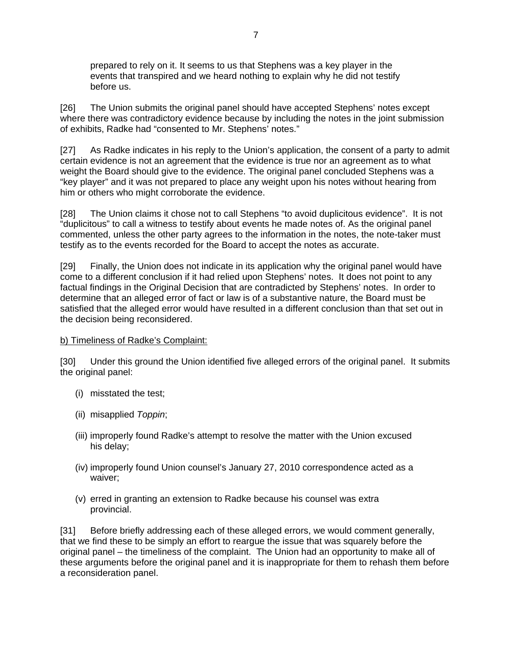prepared to rely on it. It seems to us that Stephens was a key player in the events that transpired and we heard nothing to explain why he did not testify before us.

[26] The Union submits the original panel should have accepted Stephens' notes except where there was contradictory evidence because by including the notes in the joint submission of exhibits, Radke had "consented to Mr. Stephens' notes."

[27] As Radke indicates in his reply to the Union's application, the consent of a party to admit certain evidence is not an agreement that the evidence is true nor an agreement as to what weight the Board should give to the evidence. The original panel concluded Stephens was a "key player" and it was not prepared to place any weight upon his notes without hearing from him or others who might corroborate the evidence.

[28] The Union claims it chose not to call Stephens "to avoid duplicitous evidence". It is not "duplicitous" to call a witness to testify about events he made notes of. As the original panel commented, unless the other party agrees to the information in the notes, the note-taker must testify as to the events recorded for the Board to accept the notes as accurate.

[29] Finally, the Union does not indicate in its application why the original panel would have come to a different conclusion if it had relied upon Stephens' notes. It does not point to any factual findings in the Original Decision that are contradicted by Stephens' notes. In order to determine that an alleged error of fact or law is of a substantive nature, the Board must be satisfied that the alleged error would have resulted in a different conclusion than that set out in the decision being reconsidered.

#### b) Timeliness of Radke's Complaint:

[30] Under this ground the Union identified five alleged errors of the original panel. It submits the original panel:

- (i) misstated the test;
- (ii) misapplied *Toppin*;
- (iii) improperly found Radke's attempt to resolve the matter with the Union excused his delay;
- (iv) improperly found Union counsel's January 27, 2010 correspondence acted as a waiver;
- (v) erred in granting an extension to Radke because his counsel was extra provincial.

[31] Before briefly addressing each of these alleged errors, we would comment generally, that we find these to be simply an effort to reargue the issue that was squarely before the original panel – the timeliness of the complaint. The Union had an opportunity to make all of these arguments before the original panel and it is inappropriate for them to rehash them before a reconsideration panel.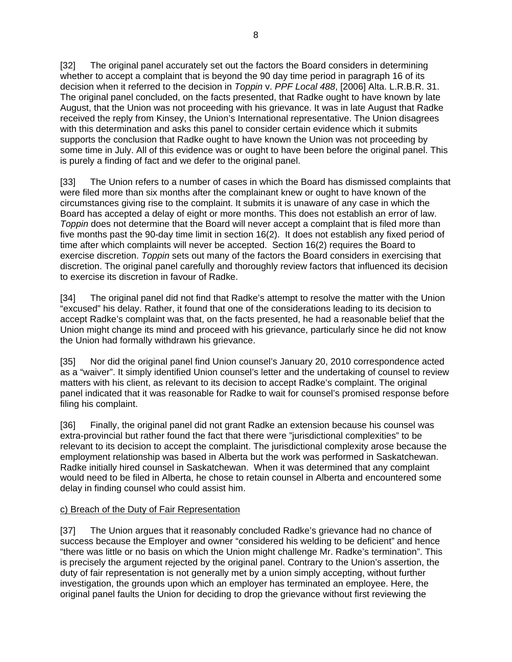[32] The original panel accurately set out the factors the Board considers in determining whether to accept a complaint that is beyond the 90 day time period in paragraph 16 of its decision when it referred to the decision in *Toppin* v. *PPF Local 488*, [2006] Alta. L.R.B.R. 31. The original panel concluded, on the facts presented, that Radke ought to have known by late August, that the Union was not proceeding with his grievance. It was in late August that Radke received the reply from Kinsey, the Union's International representative. The Union disagrees with this determination and asks this panel to consider certain evidence which it submits supports the conclusion that Radke ought to have known the Union was not proceeding by some time in July. All of this evidence was or ought to have been before the original panel. This is purely a finding of fact and we defer to the original panel.

[33] The Union refers to a number of cases in which the Board has dismissed complaints that were filed more than six months after the complainant knew or ought to have known of the circumstances giving rise to the complaint. It submits it is unaware of any case in which the Board has accepted a delay of eight or more months. This does not establish an error of law. *Toppin* does not determine that the Board will never accept a complaint that is filed more than five months past the 90-day time limit in section 16(2). It does not establish any fixed period of time after which complaints will never be accepted. Section 16(2) requires the Board to exercise discretion. *Toppin* sets out many of the factors the Board considers in exercising that discretion. The original panel carefully and thoroughly review factors that influenced its decision to exercise its discretion in favour of Radke.

[34] The original panel did not find that Radke's attempt to resolve the matter with the Union "excused" his delay. Rather, it found that one of the considerations leading to its decision to accept Radke's complaint was that, on the facts presented, he had a reasonable belief that the Union might change its mind and proceed with his grievance, particularly since he did not know the Union had formally withdrawn his grievance.

[35] Nor did the original panel find Union counsel's January 20, 2010 correspondence acted as a "waiver". It simply identified Union counsel's letter and the undertaking of counsel to review matters with his client, as relevant to its decision to accept Radke's complaint. The original panel indicated that it was reasonable for Radke to wait for counsel's promised response before filing his complaint.

[36] Finally, the original panel did not grant Radke an extension because his counsel was extra-provincial but rather found the fact that there were "jurisdictional complexities" to be relevant to its decision to accept the complaint. The jurisdictional complexity arose because the employment relationship was based in Alberta but the work was performed in Saskatchewan. Radke initially hired counsel in Saskatchewan. When it was determined that any complaint would need to be filed in Alberta, he chose to retain counsel in Alberta and encountered some delay in finding counsel who could assist him.

# c) Breach of the Duty of Fair Representation

[37] The Union argues that it reasonably concluded Radke's grievance had no chance of success because the Employer and owner "considered his welding to be deficient" and hence "there was little or no basis on which the Union might challenge Mr. Radke's termination". This is precisely the argument rejected by the original panel. Contrary to the Union's assertion, the duty of fair representation is not generally met by a union simply accepting, without further investigation, the grounds upon which an employer has terminated an employee. Here, the original panel faults the Union for deciding to drop the grievance without first reviewing the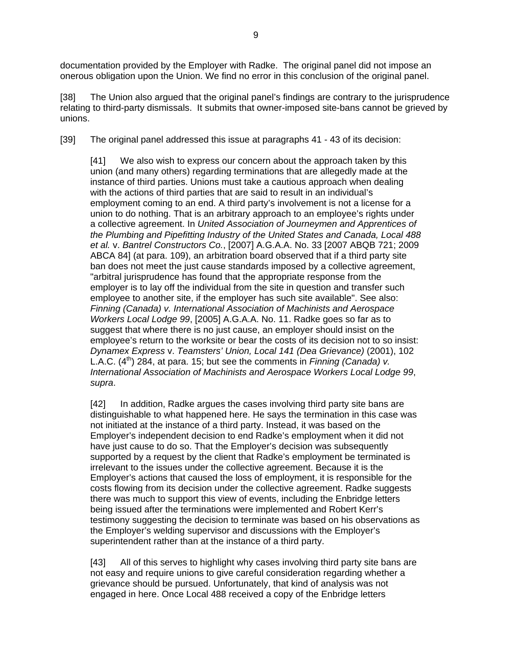documentation provided by the Employer with Radke. The original panel did not impose an onerous obligation upon the Union. We find no error in this conclusion of the original panel.

[38] The Union also argued that the original panel's findings are contrary to the jurisprudence relating to third-party dismissals. It submits that owner-imposed site-bans cannot be grieved by unions.

[39] The original panel addressed this issue at paragraphs 41 - 43 of its decision:

[41] We also wish to express our concern about the approach taken by this union (and many others) regarding terminations that are allegedly made at the instance of third parties. Unions must take a cautious approach when dealing with the actions of third parties that are said to result in an individual's employment coming to an end. A third party's involvement is not a license for a union to do nothing. That is an arbitrary approach to an employee's rights under a collective agreement. In *United Association of Journeymen and Apprentices of the Plumbing and Pipefitting Industry of the United States and Canada, Local 488 et al.* v. *Bantrel Constructors Co.*, [2007] A.G.A.A. No. 33 [2007 ABQB 721; 2009 ABCA 84] (at para. 109), an arbitration board observed that if a third party site ban does not meet the just cause standards imposed by a collective agreement, "arbitral jurisprudence has found that the appropriate response from the employer is to lay off the individual from the site in question and transfer such employee to another site, if the employer has such site available". See also: *Finning (Canada) v. International Association of Machinists and Aerospace Workers Local Lodge 99*, [2005] A.G.A.A. No. 11. Radke goes so far as to suggest that where there is no just cause, an employer should insist on the employee's return to the worksite or bear the costs of its decision not to so insist: *Dynamex Express* v. *Teamsters' Union, Local 141 (Dea Grievance)* (2001), 102 L.A.C.  $(4^{th})$  284, at para. 15; but see the comments in *Finning (Canada) v. International Association of Machinists and Aerospace Workers Local Lodge 99*, *supra*.

[42] In addition, Radke argues the cases involving third party site bans are distinguishable to what happened here. He says the termination in this case was not initiated at the instance of a third party. Instead, it was based on the Employer's independent decision to end Radke's employment when it did not have just cause to do so. That the Employer's decision was subsequently supported by a request by the client that Radke's employment be terminated is irrelevant to the issues under the collective agreement. Because it is the Employer's actions that caused the loss of employment, it is responsible for the costs flowing from its decision under the collective agreement. Radke suggests there was much to support this view of events, including the Enbridge letters being issued after the terminations were implemented and Robert Kerr's testimony suggesting the decision to terminate was based on his observations as the Employer's welding supervisor and discussions with the Employer's superintendent rather than at the instance of a third party.

[43] All of this serves to highlight why cases involving third party site bans are not easy and require unions to give careful consideration regarding whether a grievance should be pursued. Unfortunately, that kind of analysis was not engaged in here. Once Local 488 received a copy of the Enbridge letters